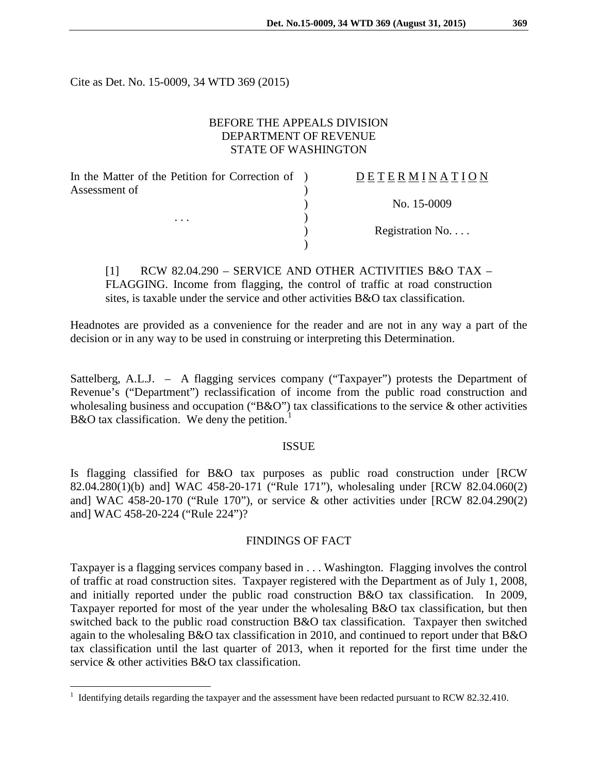Cite as Det. No. 15-0009, 34 WTD 369 (2015)

### BEFORE THE APPEALS DIVISION DEPARTMENT OF REVENUE STATE OF WASHINGTON

| In the Matter of the Petition for Correction of ) | DETERMINATION   |
|---------------------------------------------------|-----------------|
| Assessment of                                     |                 |
|                                                   | No. 15-0009     |
| $\cdots$                                          |                 |
|                                                   | Registration No |
|                                                   |                 |

[1] RCW 82.04.290 – SERVICE AND OTHER ACTIVITIES B&O TAX – FLAGGING. Income from flagging, the control of traffic at road construction sites, is taxable under the service and other activities B&O tax classification.

Headnotes are provided as a convenience for the reader and are not in any way a part of the decision or in any way to be used in construing or interpreting this Determination.

Sattelberg, A.L.J. – A flagging services company ("Taxpayer") protests the Department of Revenue's ("Department") reclassification of income from the public road construction and wholesaling business and occupation ("B&O") tax classifications to the service & other activities B&O tax classification. We deny the petition.<sup>[1](#page-0-0)</sup>

#### ISSUE

Is flagging classified for B&O tax purposes as public road construction under [RCW 82.04.280(1)(b) and] WAC 458-20-171 ("Rule 171"), wholesaling under [RCW 82.04.060(2) and] WAC 458-20-170 ("Rule 170"), or service & other activities under [RCW 82.04.290(2) and] WAC 458-20-224 ("Rule 224")?

## FINDINGS OF FACT

Taxpayer is a flagging services company based in . . . Washington. Flagging involves the control of traffic at road construction sites. Taxpayer registered with the Department as of July 1, 2008, and initially reported under the public road construction B&O tax classification. In 2009, Taxpayer reported for most of the year under the wholesaling B&O tax classification, but then switched back to the public road construction B&O tax classification. Taxpayer then switched again to the wholesaling B&O tax classification in 2010, and continued to report under that B&O tax classification until the last quarter of 2013, when it reported for the first time under the service & other activities B&O tax classification.

<span id="page-0-0"></span><sup>&</sup>lt;sup>1</sup> Identifying details regarding the taxpayer and the assessment have been redacted pursuant to RCW 82.32.410.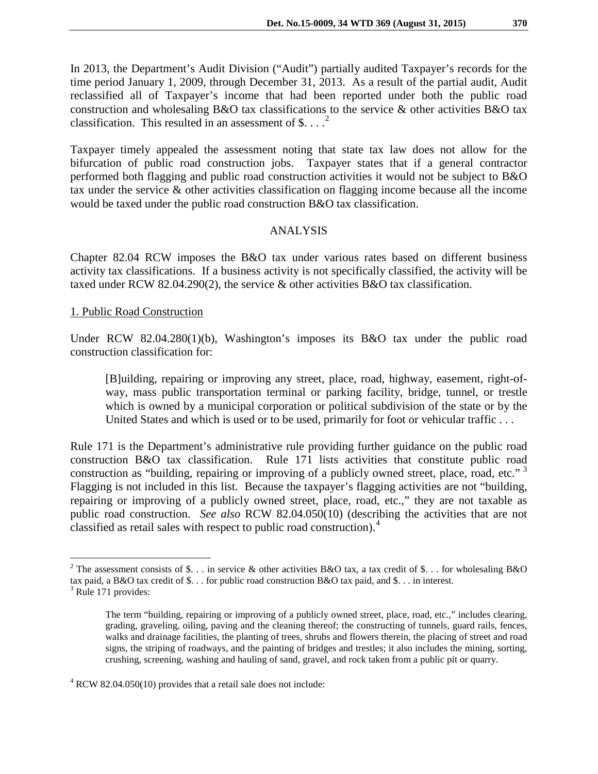In 2013, the Department's Audit Division ("Audit") partially audited Taxpayer's records for the time period January 1, 2009, through December 31, 2013. As a result of the partial audit, Audit reclassified all of Taxpayer's income that had been reported under both the public road construction and wholesaling B&O tax classifications to the service & other activities B&O tax classification. This resulted in an assessment of \$....<sup>[2](#page-1-0)</sup>

Taxpayer timely appealed the assessment noting that state tax law does not allow for the bifurcation of public road construction jobs. Taxpayer states that if a general contractor performed both flagging and public road construction activities it would not be subject to B&O tax under the service & other activities classification on flagging income because all the income would be taxed under the public road construction B&O tax classification.

## ANALYSIS

Chapter 82.04 RCW imposes the B&O tax under various rates based on different business activity tax classifications. If a business activity is not specifically classified, the activity will be taxed under RCW 82.04.290(2), the service & other activities B&O tax classification.

### 1. Public Road Construction

Under RCW 82.04.280(1)(b), Washington's imposes its B&O tax under the public road construction classification for:

[B]uilding, repairing or improving any street, place, road, highway, easement, right-ofway, mass public transportation terminal or parking facility, bridge, tunnel, or trestle which is owned by a municipal corporation or political subdivision of the state or by the United States and which is used or to be used, primarily for foot or vehicular traffic . . .

Rule 171 is the Department's administrative rule providing further guidance on the public road construction B&O tax classification. Rule 171 lists activities that constitute public road construction as "building, repairing or improving of a publicly owned street, place, road, etc."<sup>3</sup> Flagging is not included in this list. Because the taxpayer's flagging activities are not "building, repairing or improving of a publicly owned street, place, road, etc.," they are not taxable as public road construction. *See also* RCW 82.04.050(10) (describing the activities that are not classified as retail sales with respect to public road construction).[4](#page-1-2)

<span id="page-1-0"></span><sup>&</sup>lt;sup>2</sup> The assessment consists of \$... in service & other activities B&O tax, a tax credit of \$... for wholesaling B&O tax paid, a B&O tax credit of \$... for public road construction B&O tax paid, and \$... in interest.  $3$  Rule 171 provides:

<span id="page-1-1"></span>

The term "building, repairing or improving of a publicly owned street, place, road, etc.," includes clearing, grading, graveling, oiling, paving and the cleaning thereof; the constructing of tunnels, guard rails, fences, walks and drainage facilities, the planting of trees, shrubs and flowers therein, the placing of street and road signs, the striping of roadways, and the painting of bridges and trestles; it also includes the mining, sorting, crushing, screening, washing and hauling of sand, gravel, and rock taken from a public pit or quarry.

<span id="page-1-2"></span> $4$  RCW 82.04.050(10) provides that a retail sale does not include: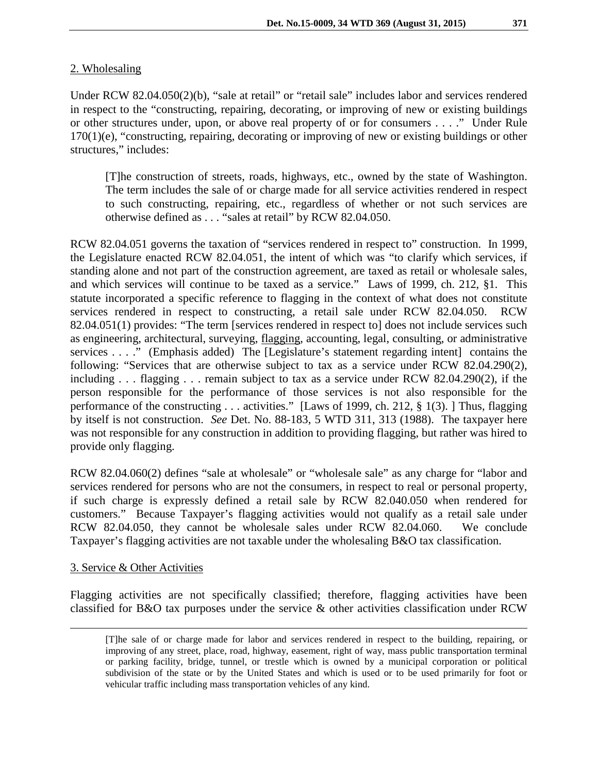# 2. Wholesaling

Under RCW 82.04.050(2)(b), "sale at retail" or "retail sale" includes labor and services rendered in respect to the "constructing, repairing, decorating, or improving of new or existing buildings or other structures under, upon, or above real property of or for consumers . . . ." Under Rule 170(1)(e), "constructing, repairing, decorating or improving of new or existing buildings or other structures," includes:

[T]he construction of streets, roads, highways, etc., owned by the state of Washington. The term includes the sale of or charge made for all service activities rendered in respect to such constructing, repairing, etc., regardless of whether or not such services are otherwise defined as . . . "sales at retail" by RCW 82.04.050.

RCW 82.04.051 governs the taxation of "services rendered in respect to" construction. In 1999, the Legislature enacted RCW 82.04.051, the intent of which was "to clarify which services, if standing alone and not part of the construction agreement, are taxed as retail or wholesale sales, and which services will continue to be taxed as a service." Laws of 1999, ch. 212, §1. This statute incorporated a specific reference to flagging in the context of what does not constitute services rendered in respect to constructing, a retail sale under RCW 82.04.050. RCW 82.04.051(1) provides: "The term [services rendered in respect to] does not include services such as engineering, architectural, surveying, flagging, accounting, legal, consulting, or administrative services . . . ." (Emphasis added) The [Legislature's statement regarding intent] contains the following: "Services that are otherwise subject to tax as a service under RCW 82.04.290(2), including . . . flagging . . . remain subject to tax as a service under RCW 82.04.290(2), if the person responsible for the performance of those services is not also responsible for the performance of the constructing . . . activities." [Laws of 1999, ch. 212, § 1(3). ] Thus, flagging by itself is not construction. *See* Det. No. 88-183, 5 WTD 311, 313 (1988). The taxpayer here was not responsible for any construction in addition to providing flagging, but rather was hired to provide only flagging.

RCW 82.04.060(2) defines "sale at wholesale" or "wholesale sale" as any charge for "labor and services rendered for persons who are not the consumers, in respect to real or personal property, if such charge is expressly defined a retail sale by RCW 82.040.050 when rendered for customers." Because Taxpayer's flagging activities would not qualify as a retail sale under RCW 82.04.050, they cannot be wholesale sales under RCW 82.04.060. We conclude Taxpayer's flagging activities are not taxable under the wholesaling B&O tax classification.

## 3. Service & Other Activities

Flagging activities are not specifically classified; therefore, flagging activities have been classified for B&O tax purposes under the service & other activities classification under RCW

 <sup>[</sup>T]he sale of or charge made for labor and services rendered in respect to the building, repairing, or improving of any street, place, road, highway, easement, right of way, mass public transportation terminal or parking facility, bridge, tunnel, or trestle which is owned by a municipal corporation or political subdivision of the state or by the United States and which is used or to be used primarily for foot or vehicular traffic including mass transportation vehicles of any kind.